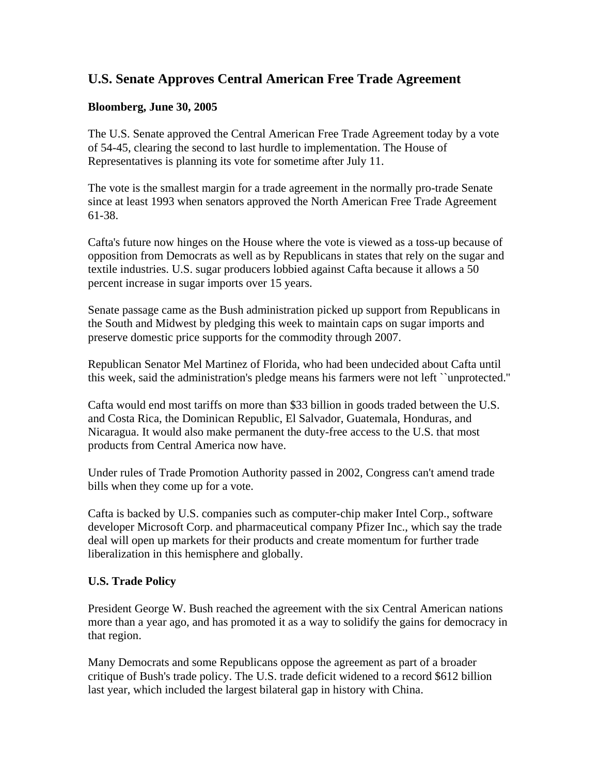## **U.S. Senate Approves Central American Free Trade Agreement**

## **Bloomberg, June 30, 2005**

The U.S. Senate approved the Central American Free Trade Agreement today by a vote of 54-45, clearing the second to last hurdle to implementation. The House of Representatives is planning its vote for sometime after July 11.

The vote is the smallest margin for a trade agreement in the normally pro-trade Senate since at least 1993 when senators approved the North American Free Trade Agreement 61-38.

Cafta's future now hinges on the House where the vote is viewed as a toss-up because of opposition from Democrats as well as by Republicans in states that rely on the sugar and textile industries. U.S. sugar producers lobbied against Cafta because it allows a 50 percent increase in sugar imports over 15 years.

Senate passage came as the Bush administration picked up support from Republicans in the South and Midwest by pledging this week to maintain caps on sugar imports and preserve domestic price supports for the commodity through 2007.

Republican Senator Mel Martinez of Florida, who had been undecided about Cafta until this week, said the administration's pledge means his farmers were not left ``unprotected.''

Cafta would end most tariffs on more than \$33 billion in goods traded between the U.S. and Costa Rica, the Dominican Republic, El Salvador, Guatemala, Honduras, and Nicaragua. It would also make permanent the duty-free access to the U.S. that most products from Central America now have.

Under rules of Trade Promotion Authority passed in 2002, Congress can't amend trade bills when they come up for a vote.

Cafta is backed by U.S. companies such as computer-chip maker Intel Corp., software developer Microsoft Corp. and pharmaceutical company Pfizer Inc., which say the trade deal will open up markets for their products and create momentum for further trade liberalization in this hemisphere and globally.

## **U.S. Trade Policy**

President George W. Bush reached the agreement with the six Central American nations more than a year ago, and has promoted it as a way to solidify the gains for democracy in that region.

Many Democrats and some Republicans oppose the agreement as part of a broader critique of Bush's trade policy. The U.S. trade deficit widened to a record \$612 billion last year, which included the largest bilateral gap in history with China.